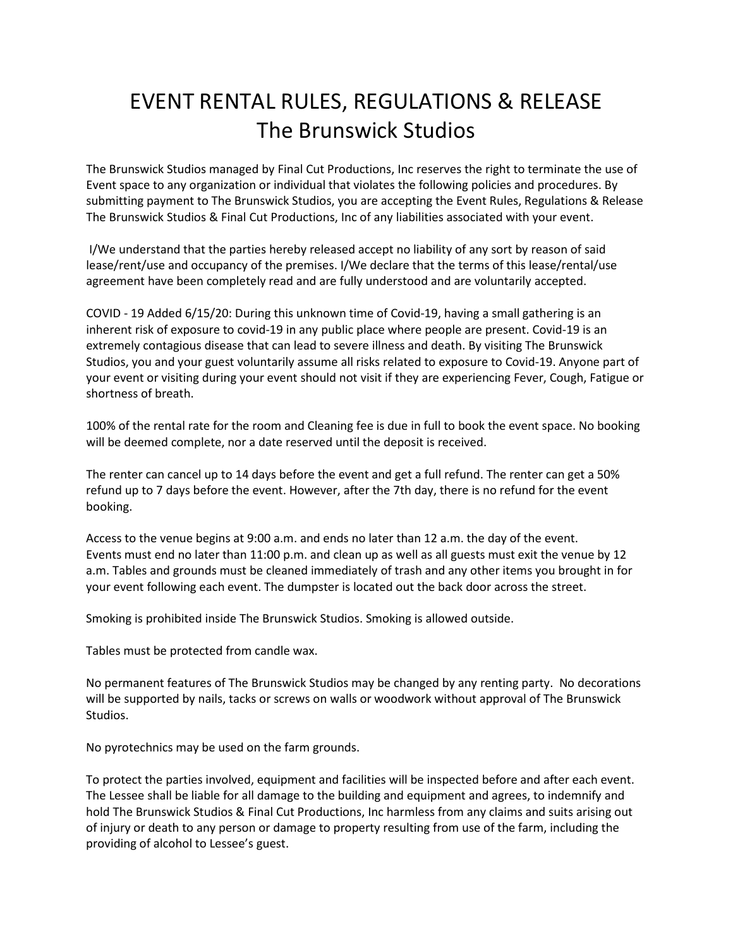## EVENT RENTAL RULES, REGULATIONS & RELEASE The Brunswick Studios

The Brunswick Studios managed by Final Cut Productions, Inc reserves the right to terminate the use of Event space to any organization or individual that violates the following policies and procedures. By submitting payment to The Brunswick Studios, you are accepting the Event Rules, Regulations & Release The Brunswick Studios & Final Cut Productions, Inc of any liabilities associated with your event.

I/We understand that the parties hereby released accept no liability of any sort by reason of said lease/rent/use and occupancy of the premises. I/We declare that the terms of this lease/rental/use agreement have been completely read and are fully understood and are voluntarily accepted.

COVID - 19 Added 6/15/20: During this unknown time of Covid-19, having a small gathering is an inherent risk of exposure to covid-19 in any public place where people are present. Covid-19 is an extremely contagious disease that can lead to severe illness and death. By visiting The Brunswick Studios, you and your guest voluntarily assume all risks related to exposure to Covid-19. Anyone part of your event or visiting during your event should not visit if they are experiencing Fever, Cough, Fatigue or shortness of breath.

100% of the rental rate for the room and Cleaning fee is due in full to book the event space. No booking will be deemed complete, nor a date reserved until the deposit is received.

The renter can cancel up to 14 days before the event and get a full refund. The renter can get a 50% refund up to 7 days before the event. However, after the 7th day, there is no refund for the event booking.

Access to the venue begins at 9:00 a.m. and ends no later than 12 a.m. the day of the event. Events must end no later than 11:00 p.m. and clean up as well as all guests must exit the venue by 12 a.m. Tables and grounds must be cleaned immediately of trash and any other items you brought in for your event following each event. The dumpster is located out the back door across the street.

Smoking is prohibited inside The Brunswick Studios. Smoking is allowed outside.

Tables must be protected from candle wax.

No permanent features of The Brunswick Studios may be changed by any renting party. No decorations will be supported by nails, tacks or screws on walls or woodwork without approval of The Brunswick Studios.

No pyrotechnics may be used on the farm grounds.

To protect the parties involved, equipment and facilities will be inspected before and after each event. The Lessee shall be liable for all damage to the building and equipment and agrees, to indemnify and hold The Brunswick Studios & Final Cut Productions, Inc harmless from any claims and suits arising out of injury or death to any person or damage to property resulting from use of the farm, including the providing of alcohol to Lessee's guest.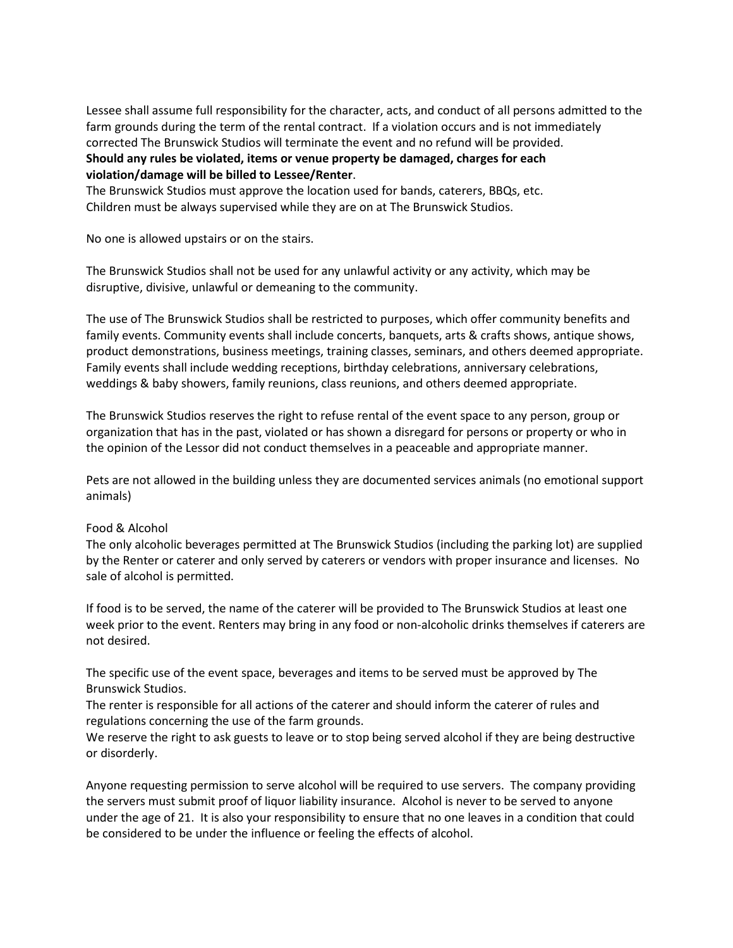Lessee shall assume full responsibility for the character, acts, and conduct of all persons admitted to the farm grounds during the term of the rental contract. If a violation occurs and is not immediately corrected The Brunswick Studios will terminate the event and no refund will be provided. **Should any rules be violated, items or venue property be damaged, charges for each violation/damage will be billed to Lessee/Renter**.

The Brunswick Studios must approve the location used for bands, caterers, BBQs, etc. Children must be always supervised while they are on at The Brunswick Studios.

No one is allowed upstairs or on the stairs.

The Brunswick Studios shall not be used for any unlawful activity or any activity, which may be disruptive, divisive, unlawful or demeaning to the community.

The use of The Brunswick Studios shall be restricted to purposes, which offer community benefits and family events. Community events shall include concerts, banquets, arts & crafts shows, antique shows, product demonstrations, business meetings, training classes, seminars, and others deemed appropriate. Family events shall include wedding receptions, birthday celebrations, anniversary celebrations, weddings & baby showers, family reunions, class reunions, and others deemed appropriate.

The Brunswick Studios reserves the right to refuse rental of the event space to any person, group or organization that has in the past, violated or has shown a disregard for persons or property or who in the opinion of the Lessor did not conduct themselves in a peaceable and appropriate manner.

Pets are not allowed in the building unless they are documented services animals (no emotional support animals)

## Food & Alcohol

The only alcoholic beverages permitted at The Brunswick Studios (including the parking lot) are supplied by the Renter or caterer and only served by caterers or vendors with proper insurance and licenses. No sale of alcohol is permitted.

If food is to be served, the name of the caterer will be provided to The Brunswick Studios at least one week prior to the event. Renters may bring in any food or non-alcoholic drinks themselves if caterers are not desired.

The specific use of the event space, beverages and items to be served must be approved by The Brunswick Studios.

The renter is responsible for all actions of the caterer and should inform the caterer of rules and regulations concerning the use of the farm grounds.

We reserve the right to ask guests to leave or to stop being served alcohol if they are being destructive or disorderly.

Anyone requesting permission to serve alcohol will be required to use servers. The company providing the servers must submit proof of liquor liability insurance. Alcohol is never to be served to anyone under the age of 21. It is also your responsibility to ensure that no one leaves in a condition that could be considered to be under the influence or feeling the effects of alcohol.